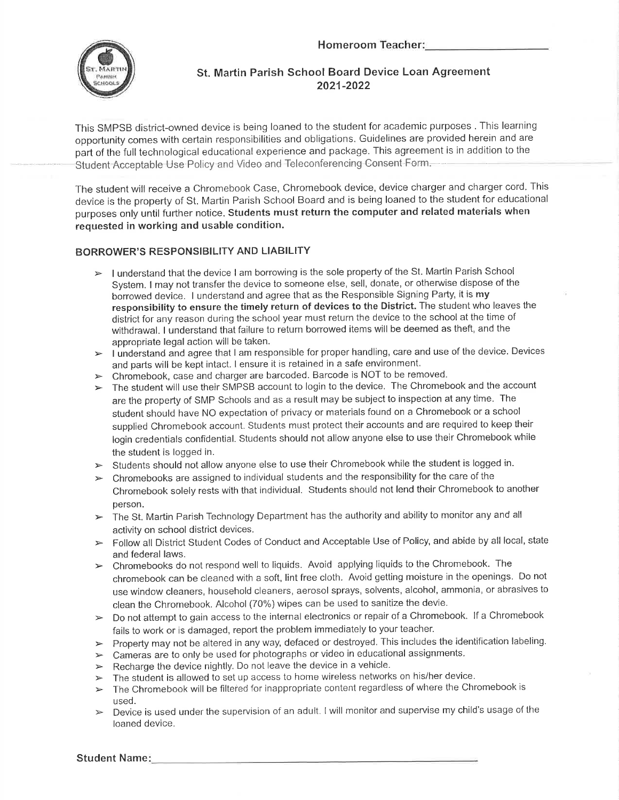Homeroom



## St. Martin Parish School Board Device Loan Agreement 2021-2022

This SMPSB district-owned device is being loaned to the student for academic purposes . This learning opportunity comes with certain responsibilities and obligations. Guidelines are provided herein and are part of the full technological educational experience and package. This agreement is in addition to the Student Acceptable Use Policy and Video and Teleconferencing Consent Form.

The student will receive a Chromebook Case, Chromebook device, device charger and charger cord. This device is the property of St. Martin Parish School Board and is being loaned to the student for educational purposes only until further notice. Students must return the computer and related materials when requested in working and usable condition.

### BORROWER'S RESPONSIBILITY AND LIABILITY

- I understand that the device I am borrowing is the sole property of the St. Martin Parish School System. I may not transfer the device to someone else, sell, donate, or otherwise dispose of the borrowed device. I understand and agree that as the Responsible Signing Party, it is my responsibility to ensure the timely return of devices to the District. The student who leaves the district for any reason during the school year must return the device to the school at the time of withdrawal. I understand that failure to return borrowed items will be deemed as theft, and the
- appropriate legal action will be taken.<br>> I understand and agree that I am responsible for proper handling, care and use of the device. Devices and parts will be kept intact. I ensure it is retained in a safe environment.<br>  $\triangleright$  Chromebook, case and charger are barcoded. Barcode is NOT to be removed.
- 
- $\triangleright$  The student will use their SMPSB account to login to the device. The Chromebook and the account are the property of SMP Schools and as a result may be subject to inspection at any time. The student should have NO expectation of privacy or materials found on a Chromebook or a school supplied Chromebook account. Students must protect their accounts and are required to keep their login credentials confidential. Students should not allow anyone else to use their Chromebook while
- the student is logged in.<br>  $\triangleright$  Students should not allow anyone else to use their Chromebook while the student is logged in.
- $\triangleright$  Chromebooks are assigned to individual students and the responsibility for the care of the Chromebook solely rests with that individual. Students should not lend their Chromebook to another
- person.<br>► The St. Martin Parish Technology Department has the authority and ability to monitor any and all
- activity on school district devices.<br>
Follow all District Student Codes of Conduct and Acceptable Use of Policy, and abide by all local, state and federal laws.<br>Chromebooks do not respond well to liquids. Avoid applying liquids to the Chromebook. The
- $\prec$ chromebook can be cleaned with a soft, lint free cloth. Avoid getting moisture in the openings. Do not use window cleaners, household cleaners, aerosol sprays, solvents, alcohol, ammonia, or abrasives to
- clean the Chromebook. Alcohol (70%) wipes can be used to sanitize the devie.<br>  $\triangleright$  Do not attempt to gain access to the internal electronics or repair of a Chromebook. If a Chromebook
- fails to work or is damaged, report the problem immediately to your teacher.<br>
> Property may not be altered in any way, defaced or destroyed. This includes the identification labeling.
- $\triangleright$  Cameras are to only be used for photographs or video in educational assignments.
- Recharge the device nightly. Do not leave the device in a vehicle.  $\blacktriangleright$
- The student is allowed to set up access to home wireless networks on his/her device.  $\prec$
- The Chromebook will be filtered for inappropriate content regardless of where the Chromebook is  $\prec$
- used.<br>Device is used under the supervision of an adult. I will monitor and supervise my child's usage of the loaned device.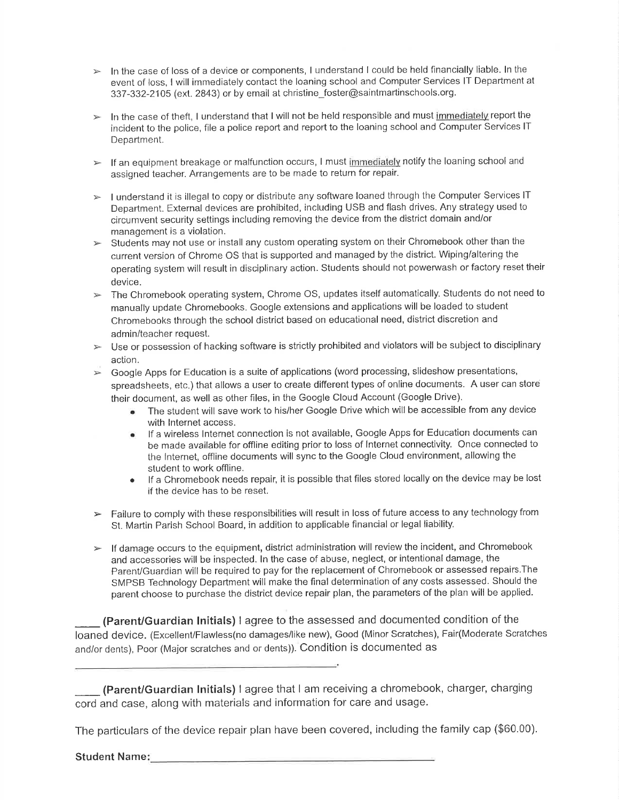- $\triangleright$  In the case of loss of a device or components, I understand I could be held financially liable. In the event of loss, I will immediately contact the loaning school and Computer Services lT Department at 337-332-2105 (ext. 2843) or by email at christine\_foster@saintmaftinschools.org.
- $\triangleright$  In the case of theft, I understand that I will not be held responsible and must immediately report the incident to the police, file a police report and report to the loaning school and Computer Services lT Department.
- $\triangleright$  If an equipment breakage or malfunction occurs, I must immediately notify the loaning school and assigned teacher. Arrangements are to be made to return for repair.
- $\triangleright$  I understand it is illegal to copy or distribute any software loaned through the Computer Services IT Depaftment. External devices are prohibited, including USB and flash drives. Any strategy used to circumvent security settings including removing the device from the district domain and/or management is a violation.
- $\triangleright$  Students may not use or install any custom operating system on their Chromebook other than the current version of Chrome OS that is supported and managed by the district. Wiping/altering the operating system will result in disciplinary action. Students should not powerwash or factory reset their device.
- $\triangleright$  The Chromebook operating system, Chrome OS, updates itself automatically. Students do not need to manually update Chromebooks. Google extensions and applications will be loaded to student Chromebooks through the school district based on educational need, district discretion and admin/teacher request.
- $\triangleright$  Use or possession of hacking software is strictly prohibited and violators will be subject to disciplinary action.
- $\triangleright$  Google Apps for Education is a suite of applications (word processing, slideshow presentations, spreadsheets, etc.) that allows a user to create different types of online documents. A user can store their document, as well as other files, in the Google Cloud Account (Google Drive).
	- The student will save work to his/her Google Drive which will be accessible from any device with lnternet access.
	- o lf a wireless lnternet connection is not available, Google Apps for Education documents can be made available for offline editing prior to loss of lnternet connectivity. Once connected to the lnternet, offline documents will sync to the Google Cloud environment, allowing the student to work offline.
	- If a Chromebook needs repair, it is possible that files stored locally on the device may be lost if the device has to be reset.
- > Failure to comply with these responsibilities will result in loss of future access to any technology from St. Martin Parish School Board, in addition to applicable financial or legal liability.
- $\blacktriangleright$  If damage occurs to the equipment, district administration will review the incident, and Chromebook and accessories will be inspected. ln the case of abuse, neglect, or intentional damage, the ParenVGuardian will be required to pay for the replacement of Chromebook or assessed repairs.The SMPSB Technology Department will make the final determination of any costs assessed. Should the parent choose to purchase the district device repair plan, the parameters of the plan will be applied.

 $\overline{\phantom{a}}$ (Parent/Guardian lnitials) I agree to the assessed and documented condition of the loaned device. (Excellent/Flawless(no damages/like new), Good (Minor Scratches), Fair(Moderate Scratches and/or dents), Poor (Major scratches and or dents)). Condition is documented as

 $\overline{\phantom{a}}$ (Parent/Guardian lnitials) I agree that I am receiving a chromebook, charger, charging cord and case, along with materials and information for care and usage.

The particulars of the device repair plan have been covered, including the family cap (\$60.00).

Student Name: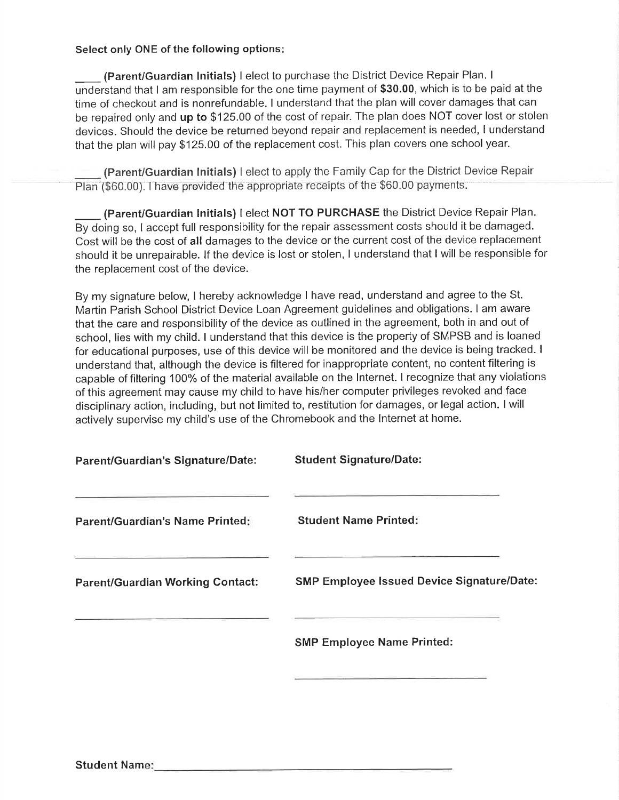Select only ONE of the following options

(Parent/Guardian lnitials) I elect to purchase the District Device Repair Plan. <sup>I</sup> understand that I am responsible for the one time payment of \$30.00, which is to be paid at the time of checkout and is nonrefundable. I understand that the plan will cover damages that can be repaired only and up to \$125.00 of the cost of repair. The plan does NOT cover lost or stolen devices. Should the device be returned beyond repair and replacement is needed, I understand that the plan will pay \$125.00 of the replacement cost. This plan covers one school year.

(Parent/Guardian lnitials) I elect to apply the Family Cap for the District Device Repair Plan (\$60.00). I have provided the appropriate receipts of the \$60.00 payments.

(Parent/Guardian Initials) I elect NOT TO PURCHASE the District Device Repair Plan. By doing so, I accept full responsibility for the repair assessment costs should it be damaged. Cost will be the cost of all damages to the device or the current cost of the device replacement should it be unrepairable. lf the device is lost or stolen, I understand that I will be responsible for the replacement cost of the device.

By my signature below, I hereby acknowledge I have read, understand and agree to the St. Martin Parish School District Device Loan Agreement guidelines and obligations. I am aware that the care and responsibility of the device as outlined in the agreement, both in and out of school, lies with my child. I understand that this device is the propefty of SMPSB and is loaned for educational purposes, use of this device will be monitored and the device is being tracked. <sup>I</sup> understand that, although the device is filtered for inappropriate content, no content filtering is capable of filtering 100% of the material available on the lnternet. I recognize that any violations of this agreement may cause my child to have his/her computer privileges revoked and face disciplinary action, including, but not limited to, restitution for damages, or legal action. I will actively supervise my child's use of the Chromebook and the lnternet at home.

| <b>Parent/Guardian's Signature/Date:</b> | <b>Student Signature/Date:</b>                    |
|------------------------------------------|---------------------------------------------------|
| <b>Parent/Guardian's Name Printed:</b>   | <b>Student Name Printed:</b>                      |
| <b>Parent/Guardian Working Contact:</b>  | <b>SMP Employee Issued Device Signature/Date:</b> |
|                                          | <b>SMP Employee Name Printed:</b>                 |
|                                          |                                                   |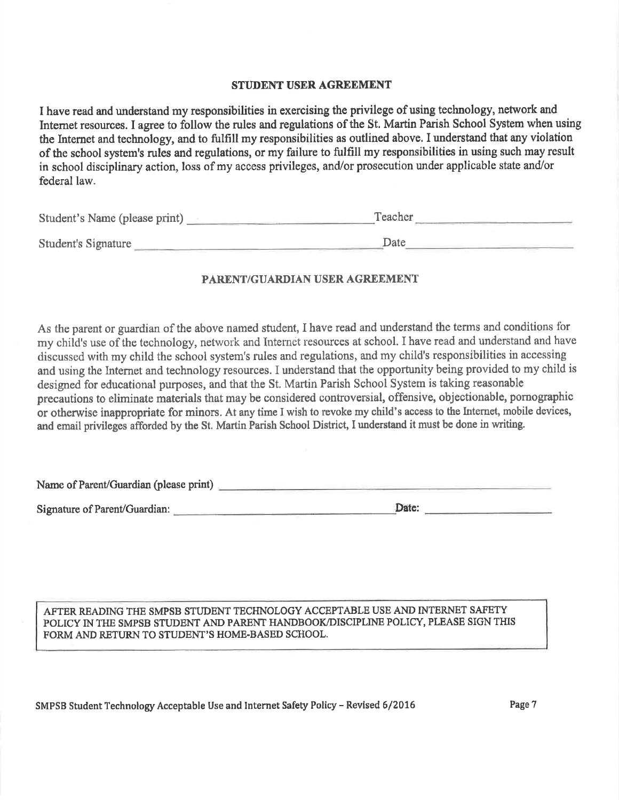#### STUDENT USER AGREEMENT

I have read and understand my responsibilities in exercising the privilege of using technology, network and Internet resources. I agree to follow the rules and regulations of the St. Martin Parish School System when using the Internet and technology, and to fulfill my responsibilities as outlined above. I understand that any violation of the school system's rules and regulations, or my failure to fulfill my responsibilities in using such may result in school disciplinary action, loss of my access privileges, and/or prosecution under applicable state and/or federal law.

| Student's Name (please print) | Teacher |  |
|-------------------------------|---------|--|
| Student's Signature           | Date    |  |

#### PARENT/GUARDIAN USER AGREEMENT

As fhe parent or guardian of the above named student, I have read and understand the terms and conditions for my child's use of the technology, network and Internet resources at school. I have read and understand and have discussed with my child the school system's rules and regulations, and my child's responsibilities in accessing and using the lnternet and technology resources. I understand that the opportunity being provided to my child is designed for educational purposes, and that the St. Martin Parish School System is taking reasonable precautions to eliminate materials that may be considered controversial, offensive, objectionable, pornographic or otherwise inappropriate for minors. At any time I wish to revoke my child's access to the Intemet, mobile devices, and email privileges afforded by the St. Martin Parish School District, I understand it must be done in writing.

Name of Parent/Guardian (please print)

Sicnature of Parent/Guardian: D[te: e

AFTER READING THE SMPSB STUDENT TECHNOLOGY ACCEPTABLE USE AND INTERNET SAFETY POLICY IN THE SMPSB STUDENT AND PARENT HANDBOOK/DISCIPLINE POLICY, PLEASE SIGN THIS FORM AND RETURN TO STUDENT'S HOME-BASED SCHOOL.

SMPSB Student Technology Acceptable Use and Internet Safety Policy - Revised 6/2016 Page 7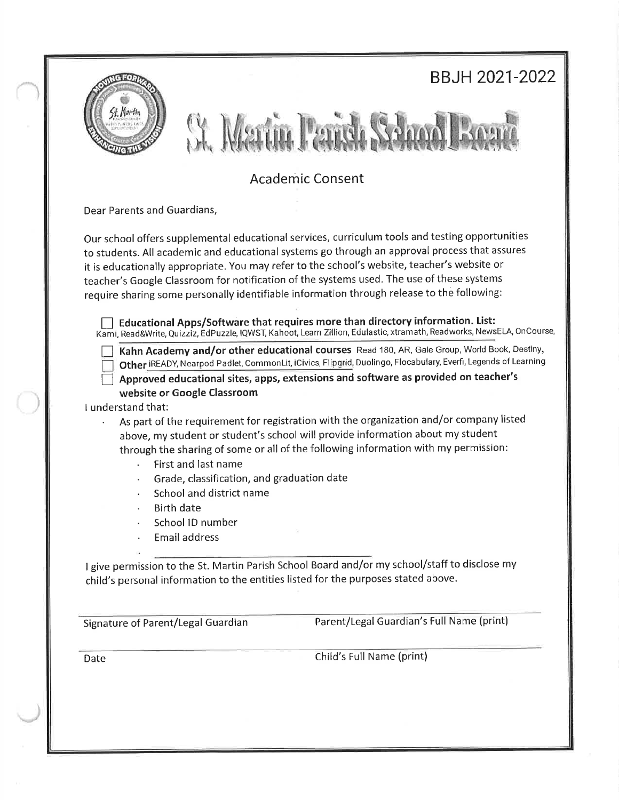|                                    |                                                                                             | <b>BBJH 2021-2022</b>                                                                                                                                                                                                                                                                                                                                                                                                                                                                                                                                                         |
|------------------------------------|---------------------------------------------------------------------------------------------|-------------------------------------------------------------------------------------------------------------------------------------------------------------------------------------------------------------------------------------------------------------------------------------------------------------------------------------------------------------------------------------------------------------------------------------------------------------------------------------------------------------------------------------------------------------------------------|
|                                    |                                                                                             |                                                                                                                                                                                                                                                                                                                                                                                                                                                                                                                                                                               |
|                                    |                                                                                             | <b>Academic Consent</b>                                                                                                                                                                                                                                                                                                                                                                                                                                                                                                                                                       |
| Dear Parents and Guardians,        |                                                                                             |                                                                                                                                                                                                                                                                                                                                                                                                                                                                                                                                                                               |
|                                    |                                                                                             | Our school offers supplemental educational services, curriculum tools and testing opportunities<br>to students. All academic and educational systems go through an approval process that assures<br>it is educationally appropriate. You may refer to the school's website, teacher's website or<br>teacher's Google Classroom for notification of the systems used. The use of these systems<br>require sharing some personally identifiable information through release to the following:<br>Educational Apps/Software that requires more than directory information. List: |
| I understand that:                 | website or Google Classroom                                                                 | Kahn Academy and/or other educational courses Read 180, AR, Gale Group, World Book, Destiny,<br>Other iREADY, Nearpod Padlet, CommonLit, iCivics, Flipgrid, Duolingo, Flocabulary, Everfi, Legends of Learning<br>Approved educational sites, apps, extensions and software as provided on teacher's                                                                                                                                                                                                                                                                          |
|                                    | First and last name                                                                         | As part of the requirement for registration with the organization and/or company listed<br>above, my student or student's school will provide information about my student<br>through the sharing of some or all of the following information with my permission:                                                                                                                                                                                                                                                                                                             |
|                                    | Grade, classification, and graduation date<br>School and district name<br><b>Birth date</b> |                                                                                                                                                                                                                                                                                                                                                                                                                                                                                                                                                                               |
|                                    | School ID number<br>Email address                                                           |                                                                                                                                                                                                                                                                                                                                                                                                                                                                                                                                                                               |
|                                    |                                                                                             | I give permission to the St. Martin Parish School Board and/or my school/staff to disclose my<br>child's personal information to the entities listed for the purposes stated above.                                                                                                                                                                                                                                                                                                                                                                                           |
|                                    |                                                                                             |                                                                                                                                                                                                                                                                                                                                                                                                                                                                                                                                                                               |
| Signature of Parent/Legal Guardian |                                                                                             | Parent/Legal Guardian's Full Name (print)                                                                                                                                                                                                                                                                                                                                                                                                                                                                                                                                     |